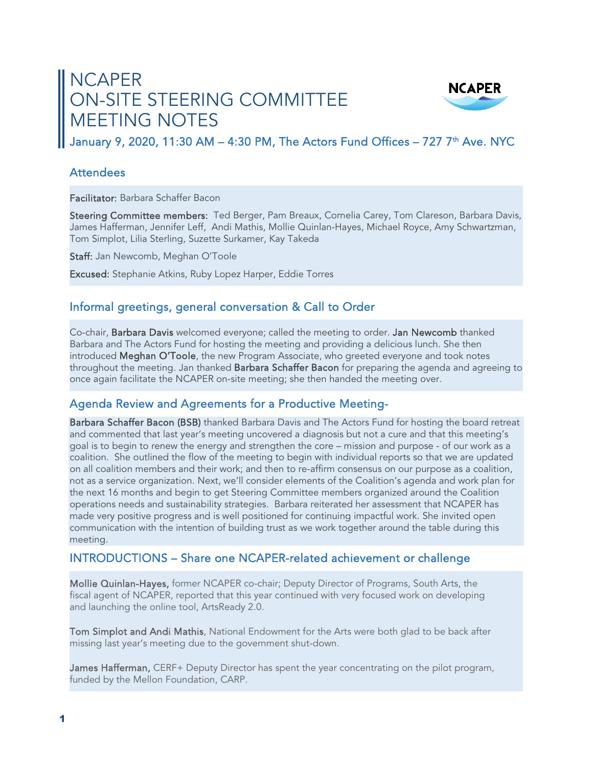# NCAPER ON-SITE STEERING COMMITTEE MEETING NOTES



January 9, 2020, 11:30 AM - 4:30 PM, The Actors Fund Offices - 727 7<sup>th</sup> Ave. NYC

#### **Attendees**

Facilitator: Barbara Schaffer Bacon

Steering Committee members: Ted Berger, Pam Breaux, Cornelia Carey, Tom Clareson, Barbara Davis, James Hafferman, Jennifer Leff, Andi Mathis, Mollie Quinlan-Hayes, Michael Royce, Amy Schwartzman, Tom Simplot, Lilia Sterling, Suzette Surkamer, Kay Takeda

Staff: Jan Newcomb, Meghan O'Toole

Excused: Stephanie Atkins, Ruby Lopez Harper, Eddie Torres

## Informal greetings, general conversation & Call to Order

Co-chair, Barbara Davis welcomed everyone; called the meeting to order. Jan Newcomb thanked Barbara and The Actors Fund for hosting the meeting and providing a delicious lunch. She then introduced Meghan O'Toole, the new Program Associate, who greeted everyone and took notes throughout the meeting. Jan thanked Barbara Schaffer Bacon for preparing the agenda and agreeing to once again facilitate the NCAPER on-site meeting; she then handed the meeting over.

# Agenda Review and Agreements for a Productive Meeting-

Barbara Schaffer Bacon (BSB) thanked Barbara Davis and The Actors Fund for hosting the board retreat and commented that last year's meeting uncovered a diagnosis but not a cure and that this meeting's goal is to begin to renew the energy and strengthen the core – mission and purpose - of our work as a coalition. She outlined the flow of the meeting to begin with individual reports so that we are updated on all coalition members and their work; and then to re-affirm consensus on our purpose as a coalition, not as a service organization. Next, we'll consider elements of the Coalition's agenda and work plan for the next 16 months and begin to get Steering Committee members organized around the Coalition operations needs and sustainability strategies. Barbara reiterated her assessment that NCAPER has made very positive progress and is well positioned for continuing impactful work. She invited open communication with the intention of building trust as we work together around the table during this meeting.

## INTRODUCTIONS – Share one NCAPER-related achievement or challenge

Mollie Quinlan-Hayes, former NCAPER co-chair; Deputy Director of Programs, South Arts, the fiscal agent of NCAPER, reported that this year continued with very focused work on developing and launching the online tool, ArtsReady 2.0.

Tom Simplot and Andi Mathis, National Endowment for the Arts were both glad to be back after missing last year's meeting due to the government shut-down.

James Hafferman, CERF+ Deputy Director has spent the year concentrating on the pilot program, funded by the Mellon Foundation, CARP.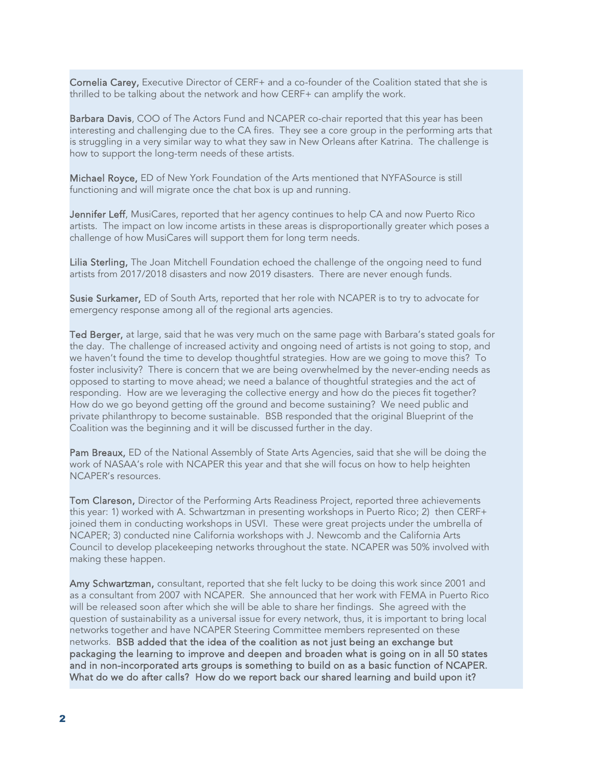Cornelia Carey, Executive Director of CERF+ and a co-founder of the Coalition stated that she is thrilled to be talking about the network and how CERF+ can amplify the work.

Barbara Davis, COO of The Actors Fund and NCAPER co-chair reported that this year has been interesting and challenging due to the CA fires. They see a core group in the performing arts that is struggling in a very similar way to what they saw in New Orleans after Katrina. The challenge is how to support the long-term needs of these artists.

Michael Royce, ED of New York Foundation of the Arts mentioned that NYFASource is still functioning and will migrate once the chat box is up and running.

Jennifer Leff, MusiCares, reported that her agency continues to help CA and now Puerto Rico artists. The impact on low income artists in these areas is disproportionally greater which poses a challenge of how MusiCares will support them for long term needs.

Lilia Sterling, The Joan Mitchell Foundation echoed the challenge of the ongoing need to fund artists from 2017/2018 disasters and now 2019 disasters. There are never enough funds.

Susie Surkamer, ED of South Arts, reported that her role with NCAPER is to try to advocate for emergency response among all of the regional arts agencies.

Ted Berger, at large, said that he was very much on the same page with Barbara's stated goals for the day. The challenge of increased activity and ongoing need of artists is not going to stop, and we haven't found the time to develop thoughtful strategies. How are we going to move this? To foster inclusivity? There is concern that we are being overwhelmed by the never-ending needs as opposed to starting to move ahead; we need a balance of thoughtful strategies and the act of responding. How are we leveraging the collective energy and how do the pieces fit together? How do we go beyond getting off the ground and become sustaining? We need public and private philanthropy to become sustainable. BSB responded that the original Blueprint of the Coalition was the beginning and it will be discussed further in the day.

Pam Breaux, ED of the National Assembly of State Arts Agencies, said that she will be doing the work of NASAA's role with NCAPER this year and that she will focus on how to help heighten NCAPER's resources.

Tom Clareson, Director of the Performing Arts Readiness Project, reported three achievements this year: 1) worked with A. Schwartzman in presenting workshops in Puerto Rico; 2) then CERF+ joined them in conducting workshops in USVI. These were great projects under the umbrella of NCAPER; 3) conducted nine California workshops with J. Newcomb and the California Arts Council to develop placekeeping networks throughout the state. NCAPER was 50% involved with making these happen.

Amy Schwartzman, consultant, reported that she felt lucky to be doing this work since 2001 and as a consultant from 2007 with NCAPER. She announced that her work with FEMA in Puerto Rico will be released soon after which she will be able to share her findings. She agreed with the question of sustainability as a universal issue for every network, thus, it is important to bring local networks together and have NCAPER Steering Committee members represented on these networks. BSB added that the idea of the coalition as not just being an exchange but packaging the learning to improve and deepen and broaden what is going on in all 50 states and in non-incorporated arts groups is something to build on as a basic function of NCAPER. What do we do after calls? How do we report back our shared learning and build upon it?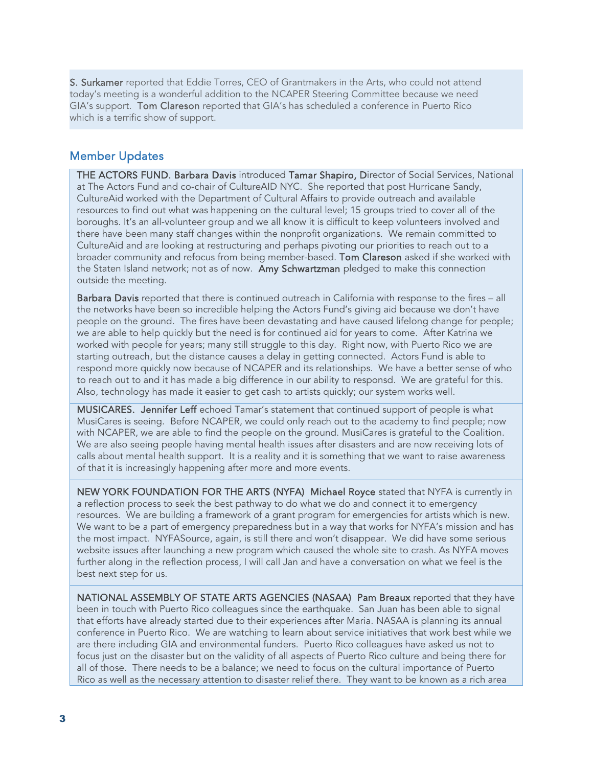S. Surkamer reported that Eddie Torres, CEO of Grantmakers in the Arts, who could not attend today's meeting is a wonderful addition to the NCAPER Steering Committee because we need GIA's support. Tom Clareson reported that GIA's has scheduled a conference in Puerto Rico which is a terrific show of support.

## Member Updates

THE ACTORS FUND. Barbara Davis introduced Tamar Shapiro, Director of Social Services, National at The Actors Fund and co-chair of CultureAID NYC. She reported that post Hurricane Sandy, CultureAid worked with the Department of Cultural Affairs to provide outreach and available resources to find out what was happening on the cultural level; 15 groups tried to cover all of the boroughs. It's an all-volunteer group and we all know it is difficult to keep volunteers involved and there have been many staff changes within the nonprofit organizations. We remain committed to CultureAid and are looking at restructuring and perhaps pivoting our priorities to reach out to a broader community and refocus from being member-based. Tom Clareson asked if she worked with the Staten Island network; not as of now. Amy Schwartzman pledged to make this connection outside the meeting.

Barbara Davis reported that there is continued outreach in California with response to the fires - all the networks have been so incredible helping the Actors Fund's giving aid because we don't have people on the ground. The fires have been devastating and have caused lifelong change for people; we are able to help quickly but the need is for continued aid for years to come. After Katrina we worked with people for years; many still struggle to this day. Right now, with Puerto Rico we are starting outreach, but the distance causes a delay in getting connected. Actors Fund is able to respond more quickly now because of NCAPER and its relationships. We have a better sense of who to reach out to and it has made a big difference in our ability to responsd. We are grateful for this. Also, technology has made it easier to get cash to artists quickly; our system works well.

MUSICARES. Jennifer Leff echoed Tamar's statement that continued support of people is what MusiCares is seeing. Before NCAPER, we could only reach out to the academy to find people; now with NCAPER, we are able to find the people on the ground. MusiCares is grateful to the Coalition. We are also seeing people having mental health issues after disasters and are now receiving lots of calls about mental health support. It is a reality and it is something that we want to raise awareness of that it is increasingly happening after more and more events.

NEW YORK FOUNDATION FOR THE ARTS (NYFA) Michael Royce stated that NYFA is currently in a reflection process to seek the best pathway to do what we do and connect it to emergency resources. We are building a framework of a grant program for emergencies for artists which is new. We want to be a part of emergency preparedness but in a way that works for NYFA's mission and has the most impact. NYFASource, again, is still there and won't disappear. We did have some serious website issues after launching a new program which caused the whole site to crash. As NYFA moves further along in the reflection process, I will call Jan and have a conversation on what we feel is the best next step for us.

NATIONAL ASSEMBLY OF STATE ARTS AGENCIES (NASAA) Pam Breaux reported that they have been in touch with Puerto Rico colleagues since the earthquake. San Juan has been able to signal that efforts have already started due to their experiences after Maria. NASAA is planning its annual conference in Puerto Rico. We are watching to learn about service initiatives that work best while we are there including GIA and environmental funders. Puerto Rico colleagues have asked us not to focus just on the disaster but on the validity of all aspects of Puerto Rico culture and being there for all of those. There needs to be a balance; we need to focus on the cultural importance of Puerto Rico as well as the necessary attention to disaster relief there. They want to be known as a rich area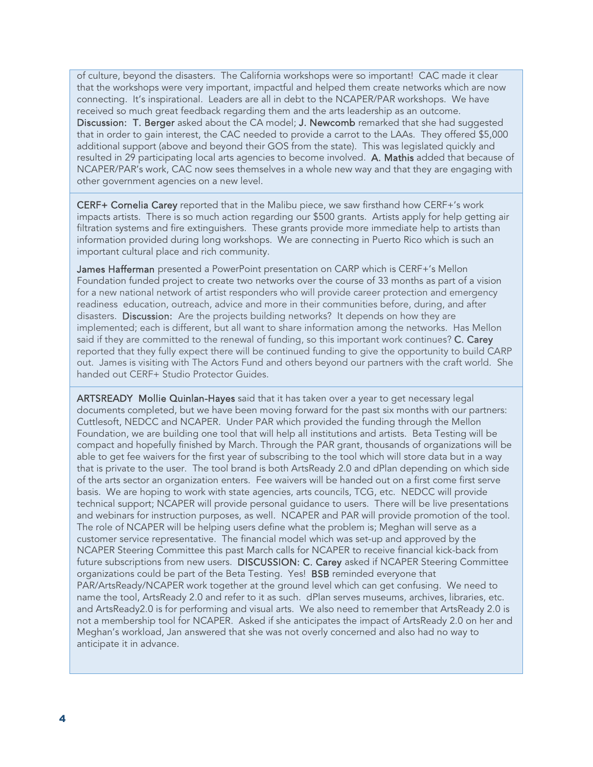of culture, beyond the disasters. The California workshops were so important! CAC made it clear that the workshops were very important, impactful and helped them create networks which are now connecting. It's inspirational. Leaders are all in debt to the NCAPER/PAR workshops. We have received so much great feedback regarding them and the arts leadership as an outcome. Discussion: T. Berger asked about the CA model; J. Newcomb remarked that she had suggested that in order to gain interest, the CAC needed to provide a carrot to the LAAs. They offered \$5,000 additional support (above and beyond their GOS from the state). This was legislated quickly and resulted in 29 participating local arts agencies to become involved. A. Mathis added that because of NCAPER/PAR's work, CAC now sees themselves in a whole new way and that they are engaging with other government agencies on a new level.

CERF+ Cornelia Carey reported that in the Malibu piece, we saw firsthand how CERF+'s work impacts artists. There is so much action regarding our \$500 grants. Artists apply for help getting air filtration systems and fire extinguishers. These grants provide more immediate help to artists than information provided during long workshops. We are connecting in Puerto Rico which is such an important cultural place and rich community.

James Hafferman presented a PowerPoint presentation on CARP which is CERF+'s Mellon Foundation funded project to create two networks over the course of 33 months as part of a vision for a new national network of artist responders who will provide career protection and emergency readiness education, outreach, advice and more in their communities before, during, and after disasters. Discussion: Are the projects building networks? It depends on how they are implemented; each is different, but all want to share information among the networks. Has Mellon said if they are committed to the renewal of funding, so this important work continues? C. Carey reported that they fully expect there will be continued funding to give the opportunity to build CARP out. James is visiting with The Actors Fund and others beyond our partners with the craft world. She handed out CERF+ Studio Protector Guides.

ARTSREADY Mollie Quinlan-Hayes said that it has taken over a year to get necessary legal documents completed, but we have been moving forward for the past six months with our partners: Cuttlesoft, NEDCC and NCAPER. Under PAR which provided the funding through the Mellon Foundation, we are building one tool that will help all institutions and artists. Beta Testing will be compact and hopefully finished by March. Through the PAR grant, thousands of organizations will be able to get fee waivers for the first year of subscribing to the tool which will store data but in a way that is private to the user. The tool brand is both ArtsReady 2.0 and dPlan depending on which side of the arts sector an organization enters. Fee waivers will be handed out on a first come first serve basis. We are hoping to work with state agencies, arts councils, TCG, etc. NEDCC will provide technical support; NCAPER will provide personal guidance to users. There will be live presentations and webinars for instruction purposes, as well. NCAPER and PAR will provide promotion of the tool. The role of NCAPER will be helping users define what the problem is; Meghan will serve as a customer service representative. The financial model which was set-up and approved by the NCAPER Steering Committee this past March calls for NCAPER to receive financial kick-back from future subscriptions from new users. DISCUSSION: C. Carey asked if NCAPER Steering Committee organizations could be part of the Beta Testing. Yes! BSB reminded everyone that PAR/ArtsReady/NCAPER work together at the ground level which can get confusing. We need to name the tool, ArtsReady 2.0 and refer to it as such. dPlan serves museums, archives, libraries, etc. and ArtsReady2.0 is for performing and visual arts. We also need to remember that ArtsReady 2.0 is not a membership tool for NCAPER. Asked if she anticipates the impact of ArtsReady 2.0 on her and Meghan's workload, Jan answered that she was not overly concerned and also had no way to anticipate it in advance.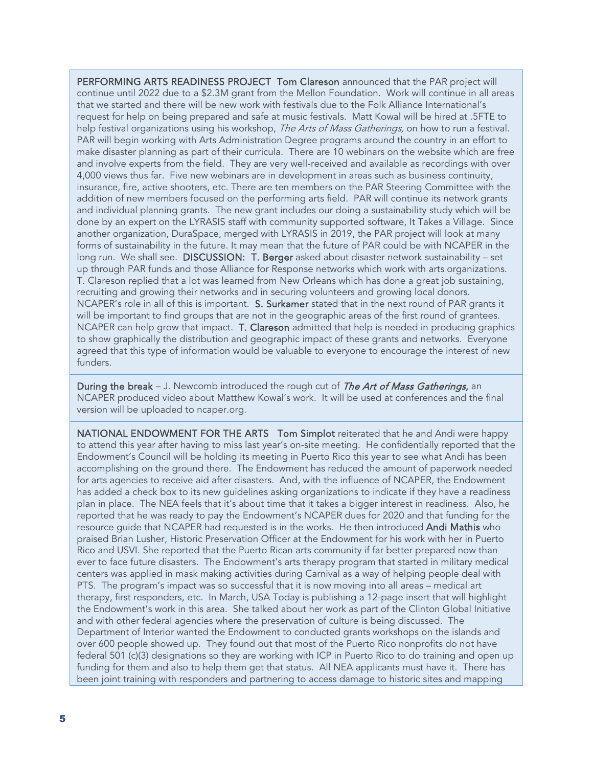PERFORMING ARTS READINESS PROJECT Tom Clareson announced that the PAR project will continue until 2022 due to a \$2.3M grant from the Mellon Foundation. Work will continue in all areas that we started and there will be new work with festivals due to the Folk Alliance International's request for help on being prepared and safe at music festivals. Matt Kowal will be hired at .5FTE to help festival organizations using his workshop, The Arts of Mass Gatherings, on how to run a festival. PAR will begin working with Arts Administration Degree programs around the country in an effort to make disaster planning as part of their curricula. There are 10 webinars on the website which are free and involve experts from the field. They are very well-received and available as recordings with over 4,000 views thus far. Five new webinars are in development in areas such as business continuity, insurance, fire, active shooters, etc. There are ten members on the PAR Steering Committee with the addition of new members focused on the performing arts field. PAR will continue its network grants and individual planning grants. The new grant includes our doing a sustainability study which will be done by an expert on the LYRASIS staff with community supported software, It Takes a Village. Since another organization, DuraSpace, merged with LYRASIS in 2019, the PAR project will look at many forms of sustainability in the future. It may mean that the future of PAR could be with NCAPER in the long run. We shall see. DISCUSSION: T. Berger asked about disaster network sustainability - set up through PAR funds and those Alliance for Response networks which work with arts organizations. T. Clareson replied that a lot was learned from New Orleans which has done a great job sustaining, recruiting and growing their networks and in securing volunteers and growing local donors. NCAPER's role in all of this is important. S. Surkamer stated that in the next round of PAR grants it will be important to find groups that are not in the geographic areas of the first round of grantees. NCAPER can help grow that impact. T. Clareson admitted that help is needed in producing graphics to show graphically the distribution and geographic impact of these grants and networks. Everyone agreed that this type of information would be valuable to everyone to encourage the interest of new funders.

During the break – J. Newcomb introduced the rough cut of The Art of Mass Gatherings, an NCAPER produced video about Matthew Kowal's work. It will be used at conferences and the final version will be uploaded to ncaper.org.

NATIONAL ENDOWMENT FOR THE ARTS Tom Simplot reiterated that he and Andi were happy to attend this year after having to miss last year's on-site meeting. He confidentially reported that the Endowment's Council will be holding its meeting in Puerto Rico this year to see what Andi has been accomplishing on the ground there. The Endowment has reduced the amount of paperwork needed for arts agencies to receive aid after disasters. And, with the influence of NCAPER, the Endowment has added a check box to its new guidelines asking organizations to indicate if they have a readiness plan in place. The NEA feels that it's about time that it takes a bigger interest in readiness. Also, he reported that he was ready to pay the Endowment's NCAPER dues for 2020 and that funding for the resource guide that NCAPER had requested is in the works. He then introduced Andi Mathis who praised Brian Lusher, Historic Preservation Officer at the Endowment for his work with her in Puerto Rico and USVI. She reported that the Puerto Rican arts community if far better prepared now than ever to face future disasters. The Endowment's arts therapy program that started in military medical centers was applied in mask making activities during Carnival as a way of helping people deal with PTS. The program's impact was so successful that it is now moving into all areas – medical art therapy, first responders, etc. In March, USA Today is publishing a 12-page insert that will highlight the Endowment's work in this area. She talked about her work as part of the Clinton Global Initiative and with other federal agencies where the preservation of culture is being discussed. The Department of Interior wanted the Endowment to conducted grants workshops on the islands and over 600 people showed up. They found out that most of the Puerto Rico nonprofits do not have federal 501 (c)(3) designations so they are working with ICP in Puerto Rico to do training and open up funding for them and also to help them get that status. All NEA applicants must have it. There has been joint training with responders and partnering to access damage to historic sites and mapping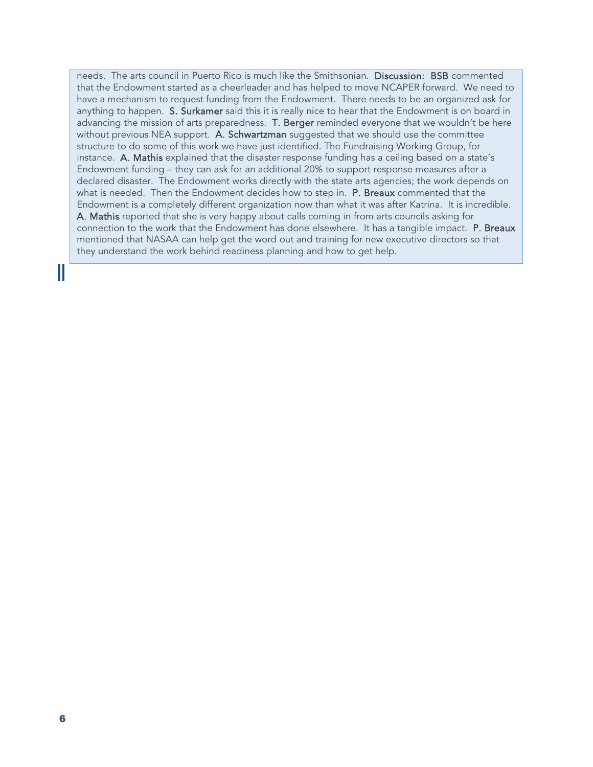needs. The arts council in Puerto Rico is much like the Smithsonian. Discussion: BSB commented that the Endowment started as a cheerleader and has helped to move NCAPER forward. We need to have a mechanism to request funding from the Endowment. There needs to be an organized ask for anything to happen. S. Surkamer said this it is really nice to hear that the Endowment is on board in advancing the mission of arts preparedness. T. Berger reminded everyone that we wouldn't be here without previous NEA support. A. Schwartzman suggested that we should use the committee structure to do some of this work we have just identified. The Fundraising Working Group, for instance. A. Mathis explained that the disaster response funding has a ceiling based on a state's Endowment funding – they can ask for an additional 20% to support response measures after a declared disaster. The Endowment works directly with the state arts agencies; the work depends on what is needed. Then the Endowment decides how to step in. P. Breaux commented that the Endowment is a completely different organization now than what it was after Katrina. It is incredible. A. Mathis reported that she is very happy about calls coming in from arts councils asking for connection to the work that the Endowment has done elsewhere. It has a tangible impact. **P. Breaux** mentioned that NASAA can help get the word out and training for new executive directors so that they understand the work behind readiness planning and how to get help.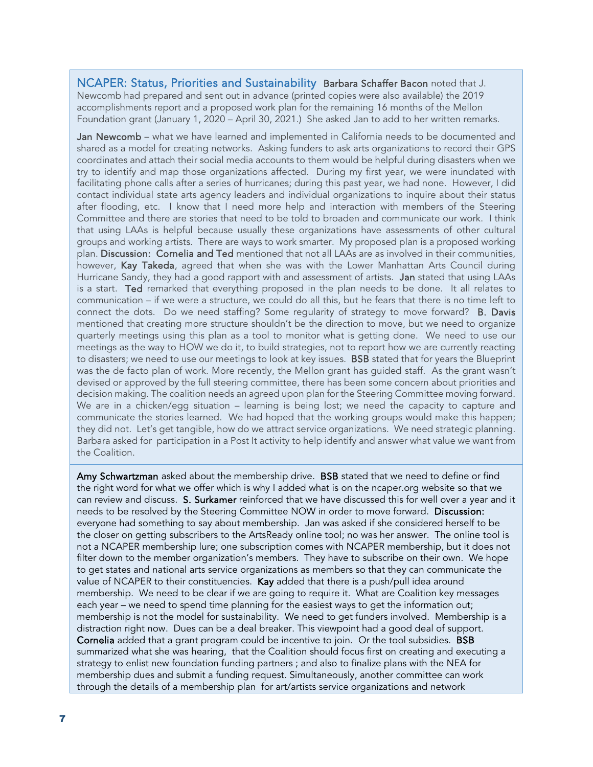#### NCAPER: Status, Priorities and Sustainability Barbara Schaffer Bacon noted that J. Newcomb had prepared and sent out in advance (printed copies were also available) the 2019 accomplishments report and a proposed work plan for the remaining 16 months of the Mellon Foundation grant (January 1, 2020 – April 30, 2021.) She asked Jan to add to her written remarks.

Jan Newcomb - what we have learned and implemented in California needs to be documented and shared as a model for creating networks. Asking funders to ask arts organizations to record their GPS coordinates and attach their social media accounts to them would be helpful during disasters when we try to identify and map those organizations affected. During my first year, we were inundated with facilitating phone calls after a series of hurricanes; during this past year, we had none. However, I did contact individual state arts agency leaders and individual organizations to inquire about their status after flooding, etc. I know that I need more help and interaction with members of the Steering Committee and there are stories that need to be told to broaden and communicate our work. I think that using LAAs is helpful because usually these organizations have assessments of other cultural groups and working artists. There are ways to work smarter. My proposed plan is a proposed working plan. Discussion: Cornelia and Ted mentioned that not all LAAs are as involved in their communities, however, Kay Takeda, agreed that when she was with the Lower Manhattan Arts Council during Hurricane Sandy, they had a good rapport with and assessment of artists. Jan stated that using LAAs is a start. Ted remarked that everything proposed in the plan needs to be done. It all relates to communication – if we were a structure, we could do all this, but he fears that there is no time left to connect the dots. Do we need staffing? Some regularity of strategy to move forward? **B. Davis** mentioned that creating more structure shouldn't be the direction to move, but we need to organize quarterly meetings using this plan as a tool to monitor what is getting done. We need to use our meetings as the way to HOW we do it, to build strategies, not to report how we are currently reacting to disasters; we need to use our meetings to look at key issues. BSB stated that for years the Blueprint was the de facto plan of work. More recently, the Mellon grant has guided staff. As the grant wasn't devised or approved by the full steering committee, there has been some concern about priorities and decision making. The coalition needs an agreed upon plan for the Steering Committee moving forward. We are in a chicken/egg situation – learning is being lost; we need the capacity to capture and communicate the stories learned. We had hoped that the working groups would make this happen; they did not. Let's get tangible, how do we attract service organizations. We need strategic planning. Barbara asked for participation in a Post It activity to help identify and answer what value we want from the Coalition.

Amy Schwartzman asked about the membership drive. BSB stated that we need to define or find the right word for what we offer which is why I added what is on the ncaper.org website so that we can review and discuss. S. Surkamer reinforced that we have discussed this for well over a year and it needs to be resolved by the Steering Committee NOW in order to move forward. Discussion: everyone had something to say about membership. Jan was asked if she considered herself to be the closer on getting subscribers to the ArtsReady online tool; no was her answer. The online tool is not a NCAPER membership lure; one subscription comes with NCAPER membership, but it does not filter down to the member organization's members. They have to subscribe on their own. We hope to get states and national arts service organizations as members so that they can communicate the value of NCAPER to their constituencies. Kay added that there is a push/pull idea around membership. We need to be clear if we are going to require it. What are Coalition key messages each year – we need to spend time planning for the easiest ways to get the information out; membership is not the model for sustainability. We need to get funders involved. Membership is a distraction right now. Dues can be a deal breaker. This viewpoint had a good deal of support. Cornelia added that a grant program could be incentive to join. Or the tool subsidies. **BSB** summarized what she was hearing, that the Coalition should focus first on creating and executing a strategy to enlist new foundation funding partners ; and also to finalize plans with the NEA for membership dues and submit a funding request. Simultaneously, another committee can work through the details of a membership plan for art/artists service organizations and network